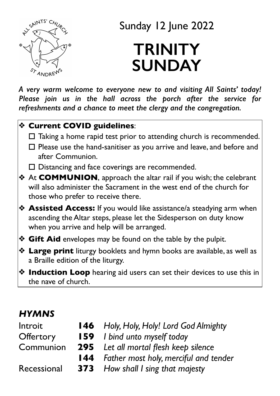

Sunday 12 June 2022

# **TRINITY SUNDAY**

*A very warm welcome to everyone new to and visiting All Saints' today! Please join us in the hall across the porch after the service for refreshments and a chance to meet the clergy and the congregation.* 

#### ❖ **Current COVID guidelines**:

- $\Box$  Taking a home rapid test prior to attending church is recommended.
- $\Box$  Please use the hand-sanitiser as you arrive and leave, and before and after Communion.
- $\Box$  Distancing and face coverings are recommended.
- ❖ At **COMMUNION**, approach the altar rail if you wish; the celebrant will also administer the Sacrament in the west end of the church for those who prefer to receive there.
- ❖ **Assisted Access:** If you would like assistance/a steadying arm when ascending the Altar steps, please let the Sidesperson on duty know when you arrive and help will be arranged.
- ❖ **Gift Aid** envelopes may be found on the table by the pulpit.
- ❖ **Large print** liturgy booklets and hymn books are available, as well as a Braille edition of the liturgy.
- ❖ **Induction Loop** hearing aid users can set their devices to use this in the nave of church.

### *HYMNS*

| <b>146</b> Holy, Holy, Holy! Lord God Almighty   |
|--------------------------------------------------|
| <b>159</b> <i>I bind unto myself today</i>       |
| <b>295</b> Let all mortal flesh keep silence     |
| <b>144</b> Father most holy, merciful and tender |
| <b>373</b> How shall I sing that majesty         |
|                                                  |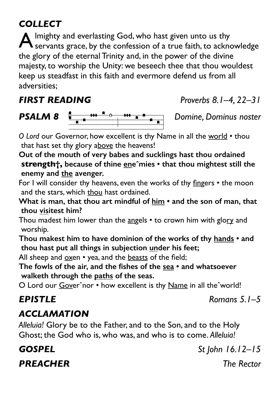### *COLLECT*

 $\blacktriangle$  lmighty and everlasting God, who hast given unto us thy servants grace, by the confession of a true faith, to acknowledge the glory of the eternal Trinity and, in the power of the divine majesty, to worship the Unity: we beseech thee that thou wouldest keep us steadfast in this faith and evermore defend us from all adversities;



*O Lord* our Governor, how excellent is thy Name in all the world • thou that hast set thy glory above the heavens!

**Out of the mouth of very babes and sucklings hast thou ordained strength†, because of thine eneˆmies • that thou mightest still the enemy and the avenger.** 

For I will consider thy heavens, even the works of thy fingers • the moon and the stars, which thou hast ordained.

**What is man, that thou art mindful of him • and the son of man, that thou visitest him?** 

Thou madest him lower than the angels  $\cdot$  to crown him with glory and worship.

**Thou makest him to have dominion of the works of thy hands • and thou hast put all things in subjection under his feet;** 

All sheep and oxen • yea, and the beasts of the field;

**The fowls of the air, and the fishes of the sea • and whatsoever walketh through the paths of the seas.** 

O Lord our Goverˆnor • how excellent is thy Name in all theˆworld!

### *EPISTLE Romans 5.1–5*

### *ACCLAMATION*

*Alleluia!* Glory be to the Father, and to the Son, and to the Holy Ghost; the God who is, who was, and who is to come. *Alleluia!*

*PREACHER The Rector*

*FIRST READING Proverbs 8.1–4, 22–31*

*GOSPEL St John 16.12–15*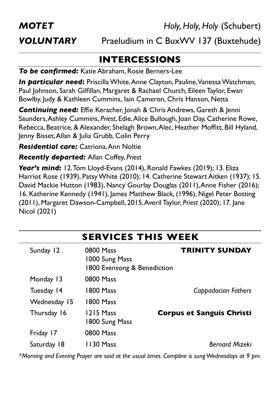*MOTET Holy, Holy, Holy* (Schubert)

*VOLUNTARY* Praeludium in C BuxWV 137 (Buxtehude)

### **INTERCESSIONS**

*To be confirmed:* Katie Abraham, Rosie Berners-Lee

*In particular need:* Priscilla White, Anne Clayton, Pauline, Vanessa Watchman, Paul Johnson, Sarah Gilfillan, Margaret & Rachael Church, Eileen Taylor, Ewan Bowlby, Judy & Kathleen Cummins, Iain Cameron, Chris Hanson, Netta

*Continuing need:* Effie Keracher, Jonah & Chris Andrews, Gareth & Jenni Saunders, Ashley Cummins, *Priest*, Edie, Alice Bullough, Joan Day, Catherine Rowe, Rebecca, Beatrice, & Alexander, Shelagh Brown, Alec, Heather Moffitt, Bill Hyland, Jenny Bisset, Allan & Julia Grubb, Colin Perry

*Residential care:* Catriona, Ann Noltie

*Recently departed:* Allan Coffey, *Priest*

*Year's mind***:** 12. Tom Lloyd-Evans (2014), Ronald Fawkes (2019); 13. Eliza Harriot Rose (1939), Patsy White (2010); 14. Catherine Stewart Aitken (1937); 15. David Mackie Hutton (1983), Nancy Gourlay Douglas (2011), Anne Fisher (2016); 16. Katherine Kennedy (1941), James Matthew Black, (1996), Nigel Peter Botting (2011), Margaret Dawson-Campbell, 2015, Averil Taylor, *Priest* (2020); 17. Jane Nicol (2021)

| SERVICES I FIIS WEER |              |                                                            |                                  |  |
|----------------------|--------------|------------------------------------------------------------|----------------------------------|--|
|                      | Sunday 12    | 0800 Mass<br>1000 Sung Mass<br>1800 Evensong & Benediction | <b>TRINITY SUNDAY</b>            |  |
|                      | Monday 13    | 0800 Mass                                                  |                                  |  |
|                      | Tuesday 14   | 1800 Mass                                                  | Cappadocian Fathers              |  |
|                      | Wednesday 15 | 1800 Mass                                                  |                                  |  |
|                      | Thursday 16  | 1215 Mass<br>1800 Sung Mass                                | <b>Corpus et Sanguis Christi</b> |  |
|                      | Friday 17    | 0800 Mass                                                  |                                  |  |
|                      | Saturday 18  | 1130 Mass                                                  | <b>Bernard Mizeki</b>            |  |

**SERVICES THIS WEEK**

*\*Morning and Evening Prayer are said at the usual times. Compline is sung Wednesdays at 9 pm.*